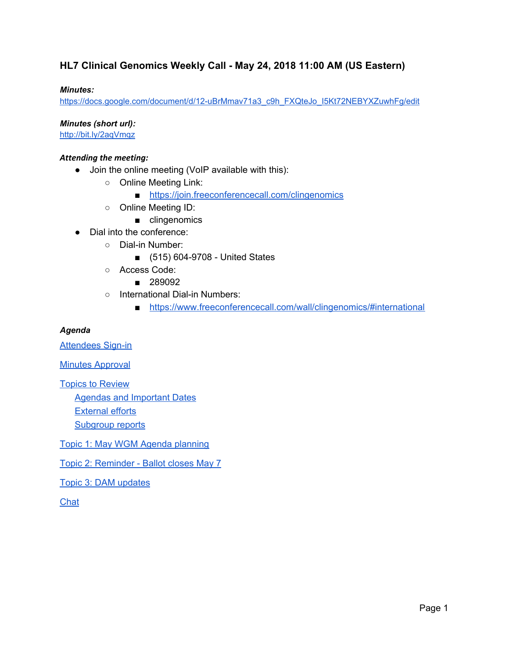### **HL7 Clinical Genomics Weekly Call - May 24, 2018 11:00 AM (US Eastern)**

#### *Minutes:*

[https://docs.google.com/document/d/12-uBrMmav71a3\\_c9h\\_FXQteJo\\_I5Kt72NEBYXZuwhFg/edit](https://docs.google.com/document/d/12-uBrMmav71a3_c9h_FXQteJo_I5Kt72NEBYXZuwhFg/edit)

*Minutes (short url):*

<http://bit.ly/2aqVmqz>

#### *Attending the meeting:*

- Join the online meeting (VoIP available with this):
	- Online Meeting Link:
		- <https://join.freeconferencecall.com/clingenomics>
	- Online Meeting ID:
		- clingenomics
- Dial into the conference:
	- Dial-in Number:
		- (515) 604-9708 United States
	- Access Code:
		- 289092
	- International Dial-in Numbers:
		- <https://www.freeconferencecall.com/wall/clingenomics/#international>

#### *Agenda*

[Attendees](#page-1-0) Sign-in

**Minutes [Approval](#page-2-0)** 

Topics to [Review](#page-2-1)

Agendas and [Important](#page-2-2) Dates

[External](#page-4-0) efforts

[Subgroup](#page-4-1) reports

Topic 1: May WGM Agenda [planning](#page-5-0)

Topic 2: [Reminder](#page-5-1) - Ballot closes May 7

Topic 3: DAM [updates](#page-5-2)

[Chat](#page-6-0)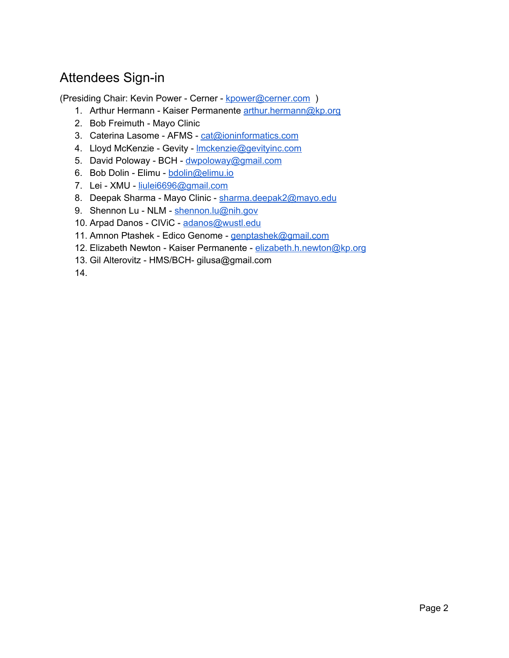# <span id="page-1-0"></span>Attendees Sign-in

(Presiding Chair: Kevin Power - Cerner - [kpower@cerner.com](mailto:kpower@cerner.com) )

- 1. Arthur Hermann Kaiser Permanente [arthur.hermann@kp.org](mailto:arthur.hermann@kp.org)
- 2. Bob Freimuth Mayo Clinic
- 3. Caterina Lasome AFMS [cat@ioninformatics.com](mailto:cat@ioninformatics.com)
- 4. Lloyd McKenzie Gevity Imckenzie@gevityinc.com
- 5. David Poloway BCH [dwpoloway@gmail.com](mailto:dwpoloway@gmail.com)
- 6. Bob Dolin Elimu [bdolin@elimu.io](mailto:bdolin@elimu.io)
- 7. Lei XMU [liulei6696@gmail.com](mailto:liulei6696@gmail.com)
- 8. Deepak Sharma Mayo Clinic [sharma.deepak2@mayo.edu](mailto:sharma.deepak2@mayo.edu)
- 9. Shennon Lu NLM [shennon.lu@nih.gov](mailto:shennon.lu@nih.gov)
- 10. Arpad Danos CIViC [adanos@wustl.edu](mailto:adanos@wustl.edu)
- 11. Amnon Ptashek Edico Genome [genptashek@gmail.com](mailto:genptashek@gmail.com)
- 12. Elizabeth Newton Kaiser Permanente [elizabeth.h.newton@kp.org](mailto:elizabeth.h.newton@kp.org)
- 13. Gil Alterovitz HMS/BCH- gilusa@gmail.com

14.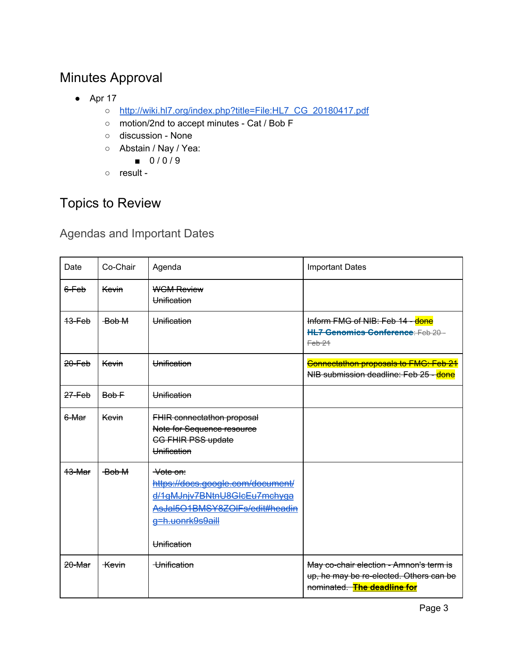# <span id="page-2-0"></span>Minutes Approval

- $\bullet$  Apr 17
	- [http://wiki.hl7.org/index.php?title=File:HL7\\_CG\\_20180417.pdf](http://wiki.hl7.org/index.php?title=File:HL7_CG_20180417.pdf)
	- motion/2nd to accept minutes Cat / Bob F
	- discussion None
	- Abstain / Nay / Yea:
		- 0/0/9
	- result -

# <span id="page-2-1"></span>Topics to Review

## <span id="page-2-2"></span>Agendas and Important Dates

| Date       | Co-Chair     | Agenda                                                                                                                                             | <b>Important Dates</b>                                                                                            |
|------------|--------------|----------------------------------------------------------------------------------------------------------------------------------------------------|-------------------------------------------------------------------------------------------------------------------|
| 6-Feb      | Kevin        | <b>WGM Review</b><br>Unification                                                                                                                   |                                                                                                                   |
| 13-Feb     | Bob M        | Unification                                                                                                                                        | Inform FMG of NIB: Feb 14 - done<br>HL7 Genomics Conference: Feb 20-<br>Feb <sub>21</sub>                         |
| $20 - Feb$ | Kevin        | Unification                                                                                                                                        | Connectathon proposals to FMG: Feb 21<br>NIB submission deadline: Feb 25 - done                                   |
| 27-Feb     | Bob F        | Unification                                                                                                                                        |                                                                                                                   |
| 6-Mar      | Kevin        | <b>FHIR connectathon proposal</b><br>Note for Sequence resource<br><b>CG FHIR PSS update</b><br>Unification                                        |                                                                                                                   |
| 13-Mar     | Bob M        | Vote on:<br>https://docs.google.com/document/<br>d/1gMJnjv7BNtnU8GlcEu7mchyga<br>AsJal5O1BMSY8ZOlFs/edit#headin<br>g=h.uonrk9s9aill<br>Unification |                                                                                                                   |
| 20-Mar     | <b>Kevin</b> | Unification                                                                                                                                        | May co-chair election - Amnon's term is<br>up, he may be re-elected. Others can be<br>nominated. The deadline for |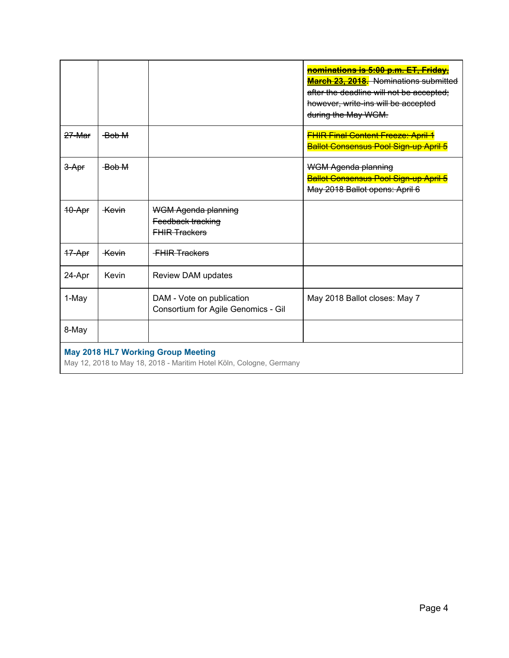|                                                                                                                  |                  |                                                                  | <b>nominations is 5:00 p.m. ET, Friday,</b><br><b>March 23, 2018.</b> Nominations submitted<br>after the deadline will not be accepted;<br>however, write-ins will be accepted<br>during the May WGM. |  |  |
|------------------------------------------------------------------------------------------------------------------|------------------|------------------------------------------------------------------|-------------------------------------------------------------------------------------------------------------------------------------------------------------------------------------------------------|--|--|
| 27-Mar                                                                                                           | Bob M            |                                                                  | <b>FHIR Final Content Freeze: April 1</b><br><b>Ballot Consensus Pool Sign-up April 5</b>                                                                                                             |  |  |
| 3-Apr                                                                                                            | Bob M            |                                                                  | <b>WGM Agenda planning</b><br><b>Ballot Consensus Pool Sign-up April 5</b><br>May 2018 Ballot opens: April 6                                                                                          |  |  |
| 10-Apr                                                                                                           | <del>Kevin</del> | WGM Agenda planning<br>Feedback tracking<br><b>FHIR Trackers</b> |                                                                                                                                                                                                       |  |  |
| 17-Apr                                                                                                           | <del>Kevin</del> | <b>FHIR Trackers</b>                                             |                                                                                                                                                                                                       |  |  |
| 24-Apr                                                                                                           | Kevin            | Review DAM updates                                               |                                                                                                                                                                                                       |  |  |
| 1-May                                                                                                            |                  | DAM - Vote on publication<br>Consortium for Agile Genomics - Gil | May 2018 Ballot closes: May 7                                                                                                                                                                         |  |  |
| 8-May                                                                                                            |                  |                                                                  |                                                                                                                                                                                                       |  |  |
| <b>May 2018 HL7 Working Group Meeting</b><br>May 12, 2018 to May 18, 2018 - Maritim Hotel Köln, Cologne, Germany |                  |                                                                  |                                                                                                                                                                                                       |  |  |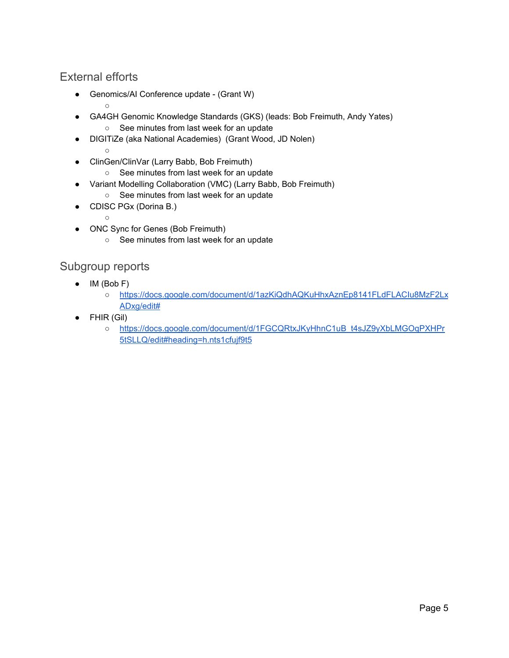### <span id="page-4-0"></span>External efforts

○

- Genomics/AI Conference update (Grant W)
- GA4GH Genomic Knowledge Standards (GKS) (leads: Bob Freimuth, Andy Yates) ○ See minutes from last week for an update
- DIGITiZe (aka National Academies) (Grant Wood, JD Nolen)  $\circ$
- ClinGen/ClinVar (Larry Babb, Bob Freimuth)
	- See minutes from last week for an update
- Variant Modelling Collaboration (VMC) (Larry Babb, Bob Freimuth)
	- See minutes from last week for an update
- CDISC PGx (Dorina B.)
- ONC Sync for Genes (Bob Freimuth)
	- See minutes from last week for an update

### <span id="page-4-1"></span>Subgroup reports

 $\circ$ 

- IM (Bob F)
	- [https://docs.google.com/document/d/1azKiQdhAQKuHhxAznEp8141FLdFLACIu8MzF2Lx](https://docs.google.com/document/d/1azKiQdhAQKuHhxAznEp8141FLdFLACIu8MzF2LxADxg/edit#) [ADxg/edit#](https://docs.google.com/document/d/1azKiQdhAQKuHhxAznEp8141FLdFLACIu8MzF2LxADxg/edit#)
- FHIR (Gil)
	- o [https://docs.google.com/document/d/1FGCQRtxJKyHhnC1uB\\_t4sJZ9yXbLMGOqPXHPr](https://docs.google.com/document/d/1FGCQRtxJKyHhnC1uB_t4sJZ9yXbLMGOqPXHPr5tSLLQ/edit#heading=h.nts1cfujf9t5) [5tSLLQ/edit#heading=h.nts1cfujf9t5](https://docs.google.com/document/d/1FGCQRtxJKyHhnC1uB_t4sJZ9yXbLMGOqPXHPr5tSLLQ/edit#heading=h.nts1cfujf9t5)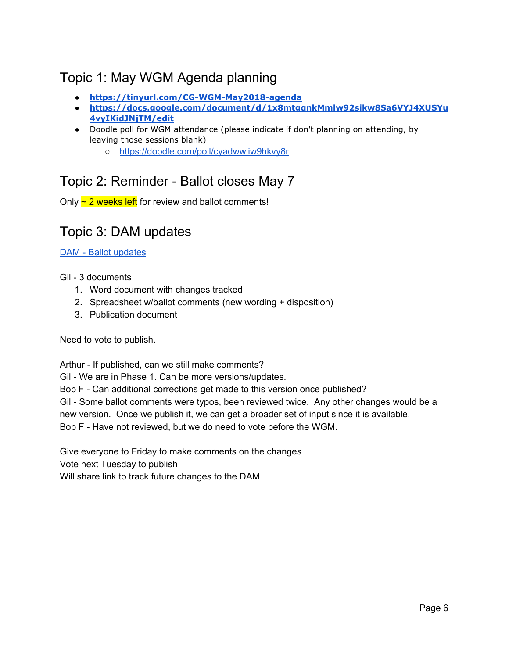# <span id="page-5-0"></span>Topic 1: May WGM Agenda planning

- **● <https://tinyurl.com/CG-WGM-May2018-agenda>**
- **● [https://docs.google.com/document/d/1x8mtgqnkMmlw92sikw8Sa6VYJ4XUSYu](https://docs.google.com/document/d/1x8mtgqnkMmlw92sikw8Sa6VYJ4XUSYu4vyIKidJNjTM/edit) [4vyIKidJNjTM/edit](https://docs.google.com/document/d/1x8mtgqnkMmlw92sikw8Sa6VYJ4XUSYu4vyIKidJNjTM/edit)**
- Doodle poll for WGM attendance (please indicate if don't planning on attending, by leaving those sessions blank)
	- <https://doodle.com/poll/cyadwwiiw9hkvy8r>

## <span id="page-5-1"></span>Topic 2: Reminder - Ballot closes May 7

<span id="page-5-2"></span>Only  $\sim$  2 weeks left for review and ballot comments!

## Topic 3: DAM updates

DAM - Ballot [updates](https://www.hl7.org/documentcenter/public/wg/clingenomics/CG%20DAM%20-%20Ballot%20comment%20updates.zip)

Gil - 3 documents

- 1. Word document with changes tracked
- 2. Spreadsheet w/ballot comments (new wording + disposition)
- 3. Publication document

Need to vote to publish.

Arthur - If published, can we still make comments?

Gil - We are in Phase 1. Can be more versions/updates.

Bob F - Can additional corrections get made to this version once published?

Gil - Some ballot comments were typos, been reviewed twice. Any other changes would be a new version. Once we publish it, we can get a broader set of input since it is available. Bob F - Have not reviewed, but we do need to vote before the WGM.

Give everyone to Friday to make comments on the changes Vote next Tuesday to publish Will share link to track future changes to the DAM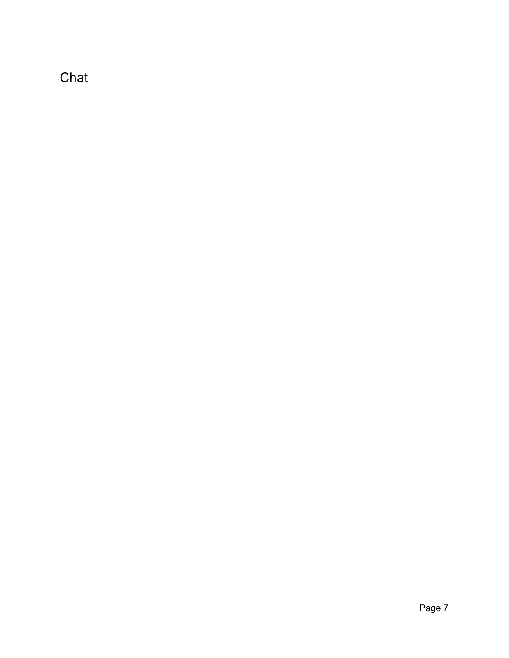<span id="page-6-0"></span>Chat